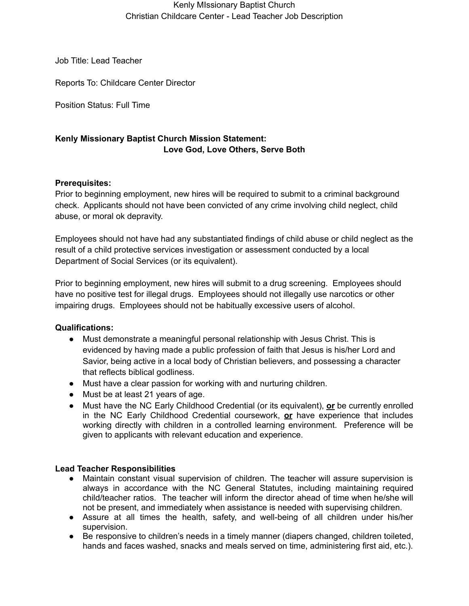#### Kenly MIssionary Baptist Church Christian Childcare Center - Lead Teacher Job Description

Job Title: Lead Teacher

Reports To: Childcare Center Director

Position Status: Full Time

# **Kenly Missionary Baptist Church Mission Statement: Love God, Love Others, Serve Both**

### **Prerequisites:**

Prior to beginning employment, new hires will be required to submit to a criminal background check. Applicants should not have been convicted of any crime involving child neglect, child abuse, or moral ok depravity.

Employees should not have had any substantiated findings of child abuse or child neglect as the result of a child protective services investigation or assessment conducted by a local Department of Social Services (or its equivalent).

Prior to beginning employment, new hires will submit to a drug screening. Employees should have no positive test for illegal drugs. Employees should not illegally use narcotics or other impairing drugs. Employees should not be habitually excessive users of alcohol.

## **Qualifications:**

- **●** Must demonstrate a meaningful personal relationship with Jesus Christ. This is evidenced by having made a public profession of faith that Jesus is his/her Lord and Savior, being active in a local body of Christian believers, and possessing a character that reflects biblical godliness.
- Must have a clear passion for working with and nurturing children.
- Must be at least 21 years of age.
- Must have the NC Early Childhood Credential (or its equivalent), **or** be currently enrolled in the NC Early Childhood Credential coursework, **or** have experience that includes working directly with children in a controlled learning environment. Preference will be given to applicants with relevant education and experience.

#### **Lead Teacher Responsibilities**

- Maintain constant visual supervision of children. The teacher will assure supervision is always in accordance with the NC General Statutes, including maintaining required child/teacher ratios. The teacher will inform the director ahead of time when he/she will not be present, and immediately when assistance is needed with supervising children.
- Assure at all times the health, safety, and well-being of all children under his/her supervision.
- Be responsive to children's needs in a timely manner (diapers changed, children toileted, hands and faces washed, snacks and meals served on time, administering first aid, etc.).